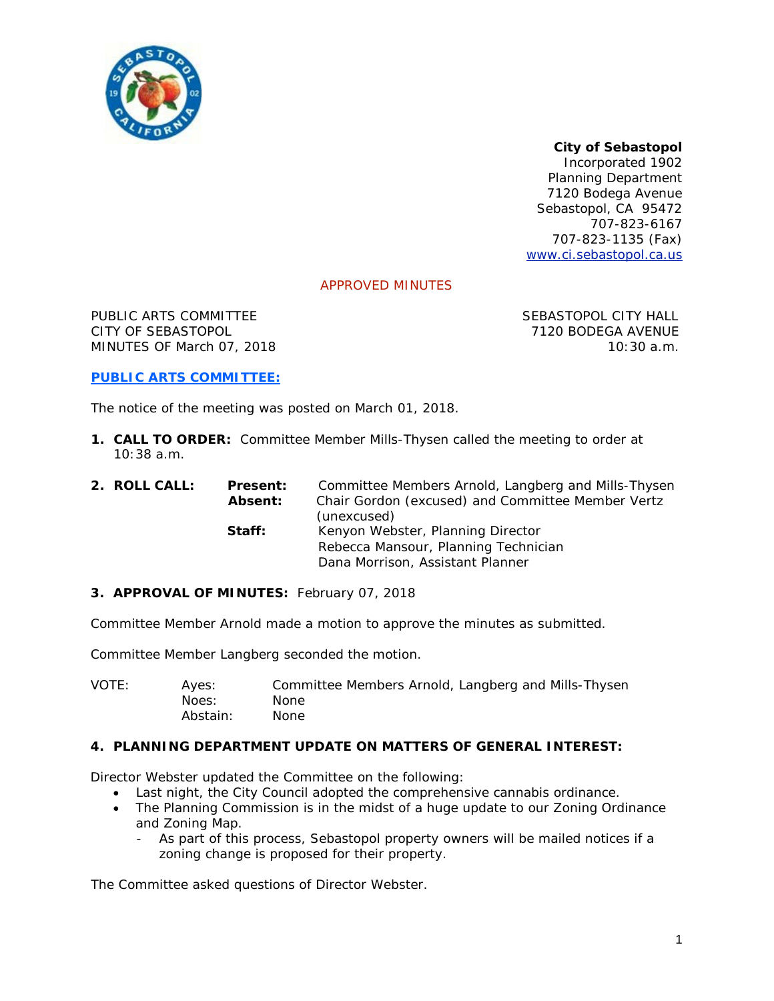

# *City of Sebastopol*

*Incorporated 1902* Planning Department 7120 Bodega Avenue Sebastopol, CA 95472 707-823-6167 707-823-1135 (Fax) [www.ci.sebastopol.ca.us](http://www.ci.sebastopol.ca.us/)

## APPROVED MINUTES

PUBLIC ARTS COMMITTEE SEBASTOPOL CITY HALL CITY OF SEBASTOPOL 7120 BODEGA AVENUE MINUTES OF March 07, 2018 10:30 a.m.

### **PUBLIC ARTS COMMITTEE:**

The notice of the meeting was posted on March 01, 2018.

**1. CALL TO ORDER:** Committee Member Mills-Thysen called the meeting to order at  $10:38$  a.m.

| 2. ROLL CALL: | <b>Present:</b><br><b>Absent:</b> | Committee Members Arnold, Langberg and Mills-Thysen<br>Chair Gordon (excused) and Committee Member Vertz<br>(unexcused) |
|---------------|-----------------------------------|-------------------------------------------------------------------------------------------------------------------------|
|               | Staff:                            | Kenyon Webster, Planning Director<br>Rebecca Mansour, Planning Technician<br>Dana Morrison, Assistant Planner           |
|               |                                   |                                                                                                                         |

#### **3. APPROVAL OF MINUTES:** February 07, 2018

Committee Member Arnold made a motion to approve the minutes as submitted.

Committee Member Langberg seconded the motion.

VOTE: Ayes: Committee Members Arnold, Langberg and Mills-Thysen Noes: None Abstain: None

### **4. PLANNING DEPARTMENT UPDATE ON MATTERS OF GENERAL INTEREST:**

Director Webster updated the Committee on the following:

- Last night, the City Council adopted the comprehensive cannabis ordinance.
- The Planning Commission is in the midst of a huge update to our Zoning Ordinance and Zoning Map.
	- As part of this process, Sebastopol property owners will be mailed notices if a zoning change is proposed for their property.

The Committee asked questions of Director Webster.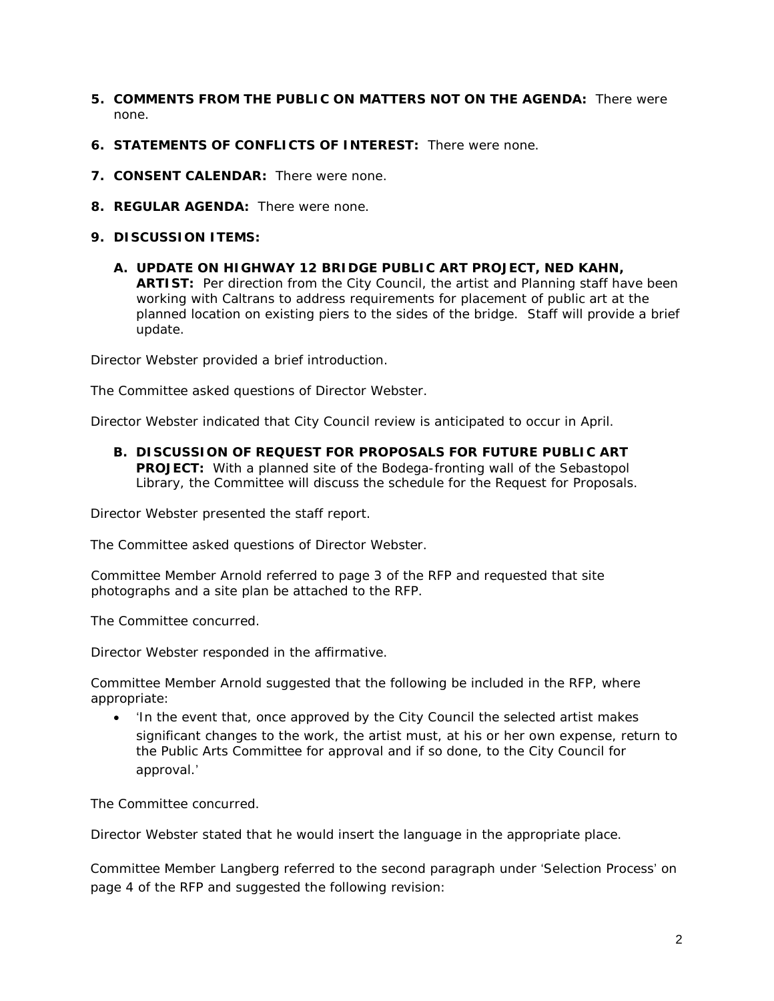- **5. COMMENTS FROM THE PUBLIC ON MATTERS NOT ON THE AGENDA:** There were none.
- **6. STATEMENTS OF CONFLICTS OF INTEREST:** There were none.
- **7. CONSENT CALENDAR:** There were none.
- **8. REGULAR AGENDA:** There were none.
- **9. DISCUSSION ITEMS:**
	- **A. UPDATE ON HIGHWAY 12 BRIDGE PUBLIC ART PROJECT, NED KAHN, ARTIST:** Per direction from the City Council, the artist and Planning staff have been working with Caltrans to address requirements for placement of public art at the planned location on existing piers to the sides of the bridge. Staff will provide a brief update.

Director Webster provided a brief introduction.

The Committee asked questions of Director Webster.

Director Webster indicated that City Council review is anticipated to occur in April.

**B. DISCUSSION OF REQUEST FOR PROPOSALS FOR FUTURE PUBLIC ART PROJECT:** With a planned site of the Bodega-fronting wall of the Sebastopol Library, the Committee will discuss the schedule for the Request for Proposals.

Director Webster presented the staff report.

The Committee asked questions of Director Webster.

Committee Member Arnold referred to page 3 of the RFP and requested that site photographs and a site plan be attached to the RFP.

The Committee concurred.

Director Webster responded in the affirmative.

Committee Member Arnold suggested that the following be included in the RFP, where appropriate:

• 'In the event that, once approved by the City Council the selected artist makes significant changes to the work, the artist must, at his or her own expense, return to the Public Arts Committee for approval and if so done, to the City Council for approval.'

The Committee concurred.

Director Webster stated that he would insert the language in the appropriate place.

Committee Member Langberg referred to the second paragraph under 'Selection Process' on page 4 of the RFP and suggested the following revision: